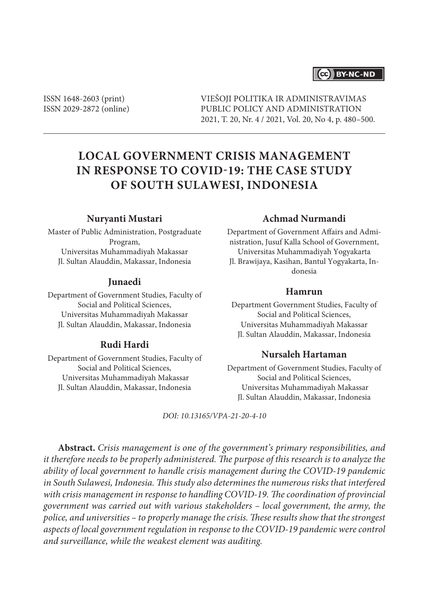## (cc) BY-NC-ND

ISSN 1648-2603 (print) ISSN 2029-2872 (online) VIEŠOJI POLITIKA IR ADMINISTRAVIMAS PUBLIC POLICY AND ADMINISTRATION 2021, T. 20, Nr. 4 / 2021, Vol. 20, No 4, p. 480–500.

# **LOCAL GOVERNMENT CRISIS MANAGEMENT IN RESPONSE TO COVID-19: THE CASE STUDY OF SOUTH SULAWESI, INDONESIA**

#### **Nuryanti Mustari**

Master of Public Administration, Postgraduate Program, Universitas Muhammadiyah Makassar Jl. Sultan Alauddin, Makassar, Indonesia

#### **Junaedi**

Department of Government Studies, Faculty of Social and Political Sciences, Universitas Muhammadiyah Makassar Jl. Sultan Alauddin, Makassar, Indonesia

## **Rudi Hardi**

Department of Government Studies, Faculty of Social and Political Sciences, Universitas Muhammadiyah Makassar Jl. Sultan Alauddin, Makassar, Indonesia

## **Achmad Nurmandi**

Department of Government Affairs and Administration, Jusuf Kalla School of Government, Universitas Muhammadiyah Yogyakarta Jl. Brawijaya, Kasihan, Bantul Yogyakarta, Indonesia

#### **Hamrun**

Department Government Studies, Faculty of Social and Political Sciences, Universitas Muhammadiyah Makassar Jl. Sultan Alauddin, Makassar, Indonesia

## **Nursaleh Hartaman**

Department of Government Studies, Faculty of Social and Political Sciences, Universitas Muhammadiyah Makassar Jl. Sultan Alauddin, Makassar, Indonesia

*DOI: 10.13165/VPA-21-20-4-10*

**Abstract.** *Crisis management is one of the government's primary responsibilities, and it therefore needs to be properly administered. The purpose of this research is to analyze the ability of local government to handle crisis management during the COVID-19 pandemic in South Sulawesi, Indonesia. This study also determines the numerous risks that interfered with crisis management in response to handling COVID-19. The coordination of provincial government was carried out with various stakeholders – local government, the army, the police, and universities – to properly manage the crisis. These results show that the strongest aspects of local government regulation in response to the COVID-19 pandemic were control and surveillance, while the weakest element was auditing.*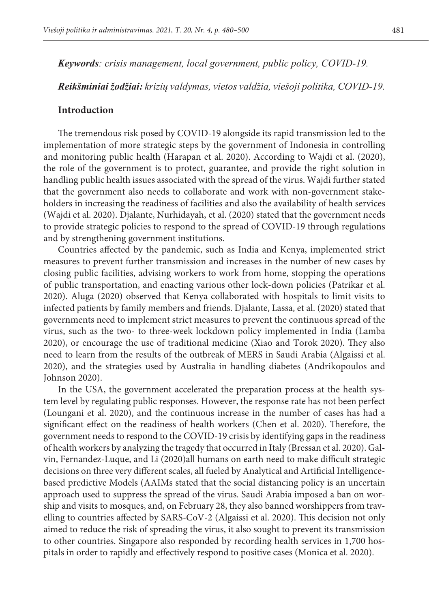*Keywords: crisis management, local government, public policy, COVID-19.*

*Reikšminiai žodžiai: krizių valdymas, vietos valdžia, viešoji politika, COVID-19.*

## **Introduction**

The tremendous risk posed by COVID-19 alongside its rapid transmission led to the implementation of more strategic steps by the government of Indonesia in controlling and monitoring public health (Harapan et al. 2020). According to Wajdi et al. (2020), the role of the government is to protect, guarantee, and provide the right solution in handling public health issues associated with the spread of the virus. Wajdi further stated that the government also needs to collaborate and work with non-government stakeholders in increasing the readiness of facilities and also the availability of health services (Wajdi et al. 2020). Djalante, Nurhidayah, et al. (2020) stated that the government needs to provide strategic policies to respond to the spread of COVID-19 through regulations and by strengthening government institutions.

Countries affected by the pandemic, such as India and Kenya, implemented strict measures to prevent further transmission and increases in the number of new cases by closing public facilities, advising workers to work from home, stopping the operations of public transportation, and enacting various other lock-down policies (Patrikar et al. 2020). Aluga (2020) observed that Kenya collaborated with hospitals to limit visits to infected patients by family members and friends. Djalante, Lassa, et al. (2020) stated that governments need to implement strict measures to prevent the continuous spread of the virus, such as the two- to three-week lockdown policy implemented in India (Lamba 2020), or encourage the use of traditional medicine (Xiao and Torok 2020). They also need to learn from the results of the outbreak of MERS in Saudi Arabia (Algaissi et al. 2020), and the strategies used by Australia in handling diabetes (Andrikopoulos and Johnson 2020).

In the USA, the government accelerated the preparation process at the health system level by regulating public responses. However, the response rate has not been perfect (Loungani et al. 2020), and the continuous increase in the number of cases has had a significant effect on the readiness of health workers (Chen et al. 2020). Therefore, the government needs to respond to the COVID-19 crisis by identifying gaps in the readiness of health workers by analyzing the tragedy that occurred in Italy (Bressan et al. 2020). Galvin, Fernandez-Luque, and Li (2020)all humans on earth need to make difficult strategic decisions on three very different scales, all fueled by Analytical and Artificial Intelligencebased predictive Models (AAIMs stated that the social distancing policy is an uncertain approach used to suppress the spread of the virus. Saudi Arabia imposed a ban on worship and visits to mosques, and, on February 28, they also banned worshippers from travelling to countries affected by SARS-CoV-2 (Algaissi et al. 2020). This decision not only aimed to reduce the risk of spreading the virus, it also sought to prevent its transmission to other countries. Singapore also responded by recording health services in 1,700 hospitals in order to rapidly and effectively respond to positive cases (Monica et al. 2020).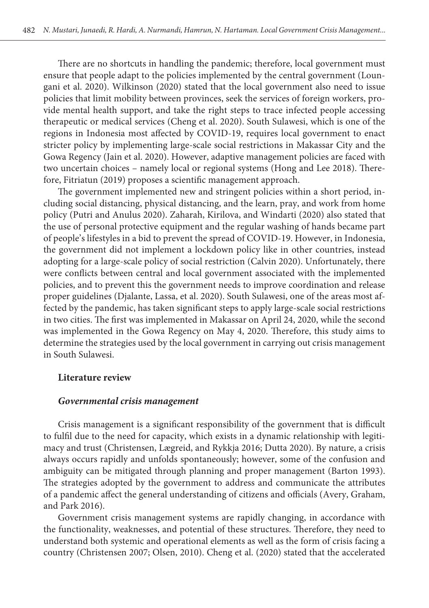There are no shortcuts in handling the pandemic; therefore, local government must ensure that people adapt to the policies implemented by the central government (Loungani et al. 2020). Wilkinson (2020) stated that the local government also need to issue policies that limit mobility between provinces, seek the services of foreign workers, provide mental health support, and take the right steps to trace infected people accessing therapeutic or medical services (Cheng et al. 2020). South Sulawesi, which is one of the regions in Indonesia most affected by COVID-19, requires local government to enact stricter policy by implementing large-scale social restrictions in Makassar City and the Gowa Regency (Jain et al. 2020). However, adaptive management policies are faced with two uncertain choices – namely local or regional systems (Hong and Lee 2018). Therefore, Fitriatun (2019) proposes a scientific management approach.

The government implemented new and stringent policies within a short period, including social distancing, physical distancing, and the learn, pray, and work from home policy (Putri and Anulus 2020). Zaharah, Kirilova, and Windarti (2020) also stated that the use of personal protective equipment and the regular washing of hands became part of people's lifestyles in a bid to prevent the spread of COVID-19. However, in Indonesia, the government did not implement a lockdown policy like in other countries, instead adopting for a large-scale policy of social restriction (Calvin 2020). Unfortunately, there were conflicts between central and local government associated with the implemented policies, and to prevent this the government needs to improve coordination and release proper guidelines (Djalante, Lassa, et al. 2020). South Sulawesi, one of the areas most affected by the pandemic, has taken significant steps to apply large-scale social restrictions in two cities. The first was implemented in Makassar on April 24, 2020, while the second was implemented in the Gowa Regency on May 4, 2020. Therefore, this study aims to determine the strategies used by the local government in carrying out crisis management in South Sulawesi.

## **Literature review**

#### *Governmental crisis management*

Crisis management is a significant responsibility of the government that is difficult to fulfil due to the need for capacity, which exists in a dynamic relationship with legitimacy and trust (Christensen, Lægreid, and Rykkja 2016; Dutta 2020). By nature, a crisis always occurs rapidly and unfolds spontaneously; however, some of the confusion and ambiguity can be mitigated through planning and proper management (Barton 1993). The strategies adopted by the government to address and communicate the attributes of a pandemic affect the general understanding of citizens and officials (Avery, Graham, and Park 2016).

Government crisis management systems are rapidly changing, in accordance with the functionality, weaknesses, and potential of these structures. Therefore, they need to understand both systemic and operational elements as well as the form of crisis facing a country (Christensen 2007; Olsen, 2010). Cheng et al. (2020) stated that the accelerated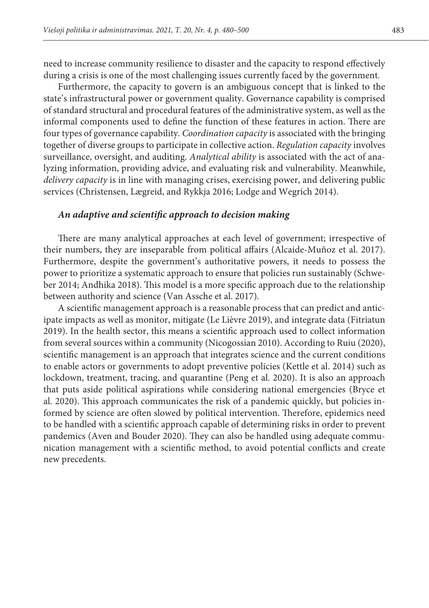need to increase community resilience to disaster and the capacity to respond effectively during a crisis is one of the most challenging issues currently faced by the government.

Furthermore, the capacity to govern is an ambiguous concept that is linked to the state's infrastructural power or government quality. Governance capability is comprised of standard structural and procedural features of the administrative system, as well as the informal components used to define the function of these features in action. There are four types of governance capability. *Coordination capacity* is associated with the bringing together of diverse groups to participate in collective action. *Regulation capacity* involves surveillance, oversight, and auditing. *Analytical ability* is associated with the act of analyzing information, providing advice, and evaluating risk and vulnerability. Meanwhile, *delivery capacity* is in line with managing crises, exercising power, and delivering public services (Christensen, Lægreid, and Rykkja 2016; Lodge and Wegrich 2014).

#### *An adaptive and scientific approach to decision making*

There are many analytical approaches at each level of government; irrespective of their numbers, they are inseparable from political affairs (Alcaide-Muñoz et al. 2017). Furthermore, despite the government's authoritative powers, it needs to possess the power to prioritize a systematic approach to ensure that policies run sustainably (Schweber 2014; Andhika 2018). This model is a more specific approach due to the relationship between authority and science (Van Assche et al. 2017).

A scientific management approach is a reasonable process that can predict and anticipate impacts as well as monitor, mitigate (Le Lièvre 2019), and integrate data (Fitriatun 2019). In the health sector, this means a scientific approach used to collect information from several sources within a community (Nicogossian 2010). According to Ruiu (2020), scientific management is an approach that integrates science and the current conditions to enable actors or governments to adopt preventive policies (Kettle et al. 2014) such as lockdown, treatment, tracing, and quarantine (Peng et al. 2020). It is also an approach that puts aside political aspirations while considering national emergencies (Bryce et al. 2020). This approach communicates the risk of a pandemic quickly, but policies informed by science are often slowed by political intervention. Therefore, epidemics need to be handled with a scientific approach capable of determining risks in order to prevent pandemics (Aven and Bouder 2020). They can also be handled using adequate communication management with a scientific method, to avoid potential conflicts and create new precedents.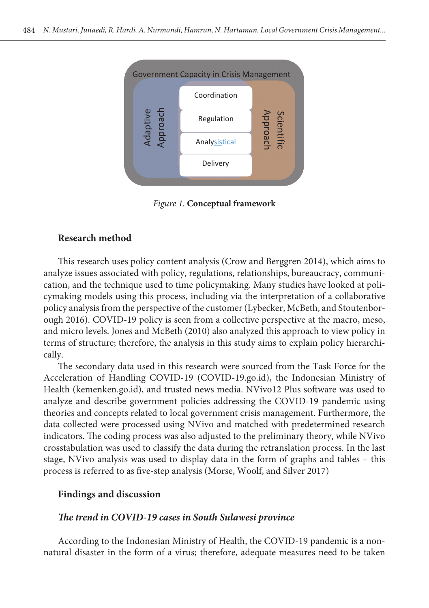

 $S_{\rm C} = (C_{\rm C} - C_{\rm C})/2$ (2014) *Figure 1.* **Conceptual framework**

## **Research method**

This research uses policy content analysis (Crow and Berggren 2014), which aims to analyze issues associated with policy, regulations, relationships, bureaucracy, communication, and the technique used to time policymaking. Many studies have looked at policymaking models using this process, including via the interpretation of a collaborative policy analysis from the perspective of the customer (Lybecker, McBeth, and Stoutenborough 2016). COVID-19 policy is seen from a collective perspective at the macro, meso, and micro levels. Jones and McBeth (2010) also analyzed this approach to view policy in terms of structure; therefore, the analysis in this study aims to explain policy hierarchically.

The secondary data used in this research were sourced from the Task Force for the Acceleration of Handling COVID-19 (COVID-19.go.id), the Indonesian Ministry of Health (kemenken.go.id), and trusted news media. NVivo12 Plus software was used to analyze and describe government policies addressing the COVID-19 pandemic using theories and concepts related to local government crisis management. Furthermore, the data collected were processed using NVivo and matched with predetermined research indicators. The coding process was also adjusted to the preliminary theory, while NVivo crosstabulation was used to classify the data during the retranslation process. In the last stage, NVivo analysis was used to display data in the form of graphs and tables – this process is referred to as five-step analysis (Morse, Woolf, and Silver 2017)

#### **Findings and discussion**

#### *The trend in COVID-19 cases in South Sulawesi province*

According to the Indonesian Ministry of Health, the COVID-19 pandemic is a nonnatural disaster in the form of a virus; therefore, adequate measures need to be taken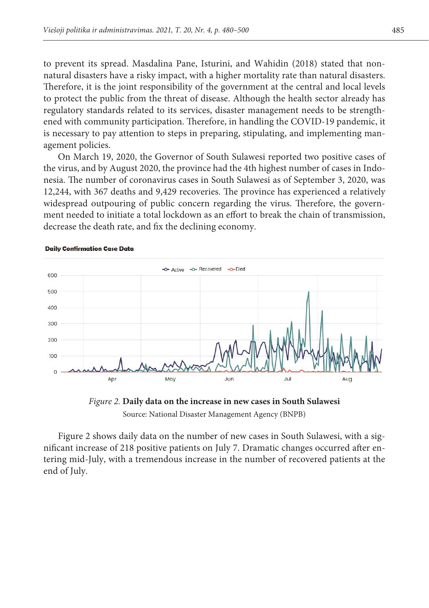to prevent its spread. Masdalina Pane, Isturini, and Wahidin (2018) stated that nonnatural disasters have a risky impact, with a higher mortality rate than natural disasters. Therefore, it is the joint responsibility of the government at the central and local levels to protect the public from the threat of disease. Although the health sector already has regulatory standards related to its services, disaster management needs to be strengthregantery camatras related to the certified, and<br>attention than  $q$  is the covid-<br>and implementing management policies. It is started to stipulate the<br>stipulation of the covid-<br> $q$  pandemic, it is necessary to pay attention to steps in preparing, stipulating, and implementing management policies.

On March 19, 2020, the Governor of South Sulawesi reported two positive cases of the virus, and by August 2020, the province had the 4th highest number of cases in Indonesia. The number of coronavirus cases in South Sulawesi as of September 3, 2020, was a relatively large condition of  $\Gamma$ 12,244, with 367 deaths and 9,429 recoveries. The province has experienced a relatively widespread outpouring of public concern regarding the virus. Therefore, the government needed to initiate a total lockdown as an effort to break the chain of transmission, decrease the death rate, and fix the declining economy. economy.



#### **Daily Confirmation Case Data**



nificant increase of 218 positive patients on July 7. Dramatic changes occurred after entering mid-July, with a tremendous increase in the number of recovered patients at the  $\frac{1}{\pi}$  the chart finally sloped with statusnum berefore in the health status number of  $\frac{1}{\pi}$ Figure 2 shows daily data on the number of new cases in South Sulawesi, with a sigend of July.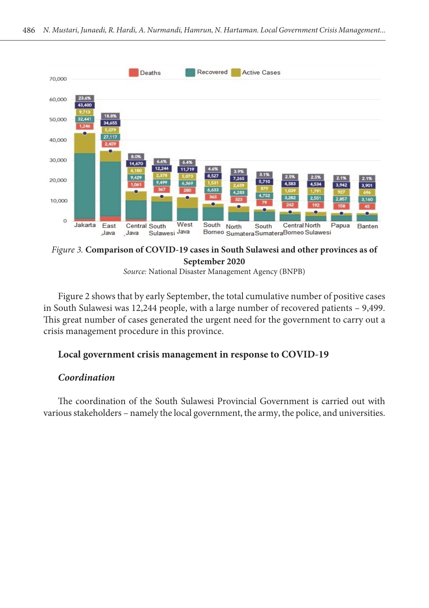

*Figure 3.* Comparison of COVID-19 cases in South Sulawesi and other provinces as of **September 2020 September 2020**

*Source:* National Disaster Management Agency (BNPB)

Figure 2 shows that by early September, the total cumulative number of positive cases in South Sulawesi was 12,244 people, with a large number of recovered patients – 9,499.<br>This can the unclear of recovered patients of the total funds of recovered to recovered patients. crisis management procedure in this province. This great number of cases generated the urgent need for the government to carry out a

# Local government crisis management in response to COVID-19

#### for the government to carry out a crisis management procedure in this province urgently. *Coordination*

In coordination of the south strawest Provincial Government is carried out with<br>various stakeholders – namely the local government, the army, the police, and universities. The coordination of the South Sulawesi Provincial Government is carried out with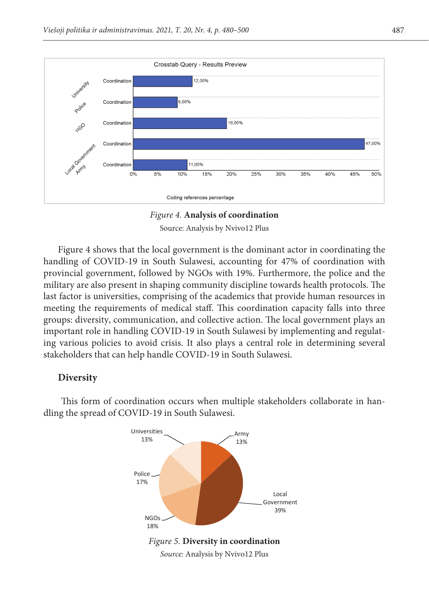

**Figure 4: . Coordination Analysis of coordination** *Figure 4.* **Analysis of coordination** Source: Analysis by Nvivo12 Plus Source: Analysis by Nvivo12 Plus

Figure 4 shows that the local government is the dominant actor in coordinating the handling of COVID-19 in South Sulawesi, accounting for 47% of coordination with provincial government, followed by NGOs with 19%. Furthermore, the police and the military are also present in shaping community discipline towards health protocols. The last factor is universities, comprising of the academics that provide human resources in meeting the requirements of medical staff. This coordination capacity falls into three groups: diversity, communication, and collective action. The local government plays an important role in handling COVID-19 in South Sulawesi by implementing and regulating various policies to avoid crisis. It also plays a central role in determining several and regulations policies to avoid crisis. It also plays a central role in determining several

#### **Diversity Diverse Group Diversity**

This form of coordination occurs when multiple stakeholders collaborate in handling the spread of COVID-19 in South Sulawesi.

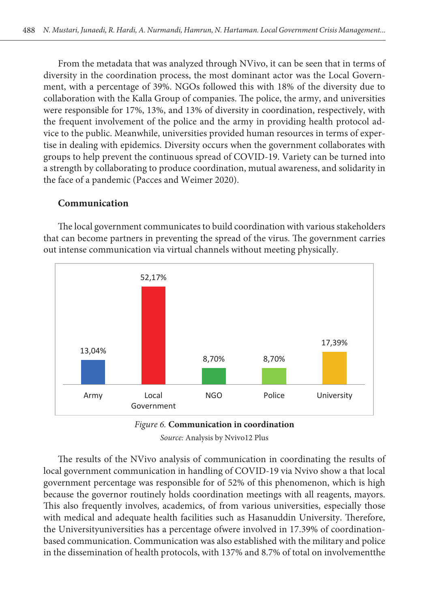From the metadata that was analyzed through NVivo, it can be seen that in terms of diversity in the coordination process, the most dominant actor was the Local Government, with a percentage of 39%. NGOs followed this with 18% of the diversity due to collaboration with the Kalla Group of companies. The police, the army, and universities were responsible for 17%, 13%, and 13% of diversity in coordination, respectively, with the frequent involvement of the police and the army in providing health protocol advice to the public. Meanwhile, universities provided human resources in terms of expertise in dealing with epidemics. Diversity occurs when the government collaborates with groups to help prevent the continuous spread of COVID-19. Variety can be turned into a strength by collaborating to produce coordination, mutual awareness, and solidarity in the face of a pandemic (Pacces and Weimer 2020).

#### **Communication** The lLocal gGovernment communicates to build coordination with various stakeholders that can

The local government communicates to build coordination with various stakeholders that can become partners in preventing the spread of the virus. The government carries nat can become partners in preventing the spread of the virus. The government out intense communication via virtual channels without meeting physically.





*Source:* Analysis by Nvivo12 Plus

The results of the NVivo analysis of communication in coordinating the results of local local government communication in handling of COVID-19 via Nvivo show a that local government percentage was responsible for of 52% of this phenomenon, which is high This also frequently involves, academics, of from various universities, especially those with medical and adequate health facilities such as Hasanuddin University. Therefore, based communication. Communication was also established with the military and police in the dissemination of health protocols, with 137% and 8.7% of total on involvementthe The results of the NVivo analysis of communication in coordinating the results of because the governor routinely holds coordination meetings with all reagents, mayors. the Universityuniversities has a percentage ofwere involved in 17.39% of coordination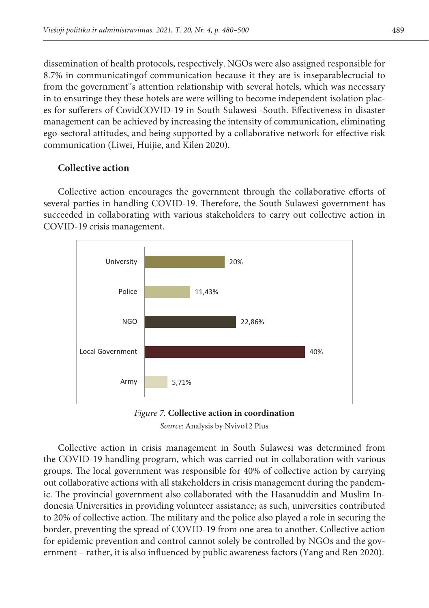dissemination of health protocols, respectively. NGOs were also assigned responsible for 8.7% in communicatingof communication because it they are is inseparablecrucial to from the government''s attention relationship with several hotels, which was necessary in to ensuringe they these hotels are were willing to become independent isolation places for sufferers of CovidCOVID-19 in South Sulawesi -South. Effectiveness in disaster management can be achieved by increasing the intensity of communication, eliminating ego-sectoral attitudes, and being supported by a collaborative network for effective risk communication (Liwei, Huijie, and Kilen 2020).

# **Collective action**

Collective action encourages the government through the collaborative efforts of several parties in handling COVID-19. Therefore, the South Sulawesi government has succeeded in collaborating with various stakeholders to carry out collective action in COVID-19 crisis management.





Collective action in crisis management in South Sulawesi was determined from groups. The local government was responsible for 40% of collective action by carrying out collaborative actions with all stakeholders in crisis management during the pandemdonesia Universities in providing volunteer assistance; as such, universities contributed to 20% of collective action. The military and the police also played a role in securing the border, preventing the spread of COVID-19 from one area to another. Collective action ernment – rather, it is also influenced by public awareness factors (Yang and Ren 2020). the COVID-19 handling program, which was carried out in collaboration with various ic. The provincial government also collaborated with the Hasanuddin and Muslim Infor epidemic prevention and control cannot solely be controlled by NGOs and the gov-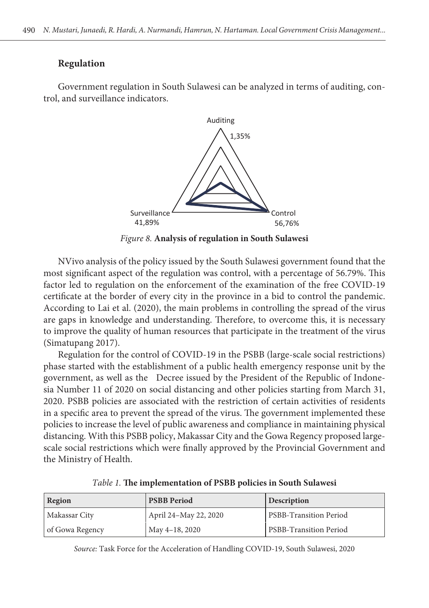## **Regulation**

Government regulation in South Sulawesi can be analyzed in terms of auditing, control, and surveillance indicators.



*Figure 8.* **Analysis of regulation in South Sulawesi**

Figure 8: **Figure 8: 11 South Sulawesi Regulation** in South Sulawesi Regulation Counter and the most significant aspect of the regulation was control, with a percentage of 56.79%. This netted to the pandemic of the choreement of the examination of the Hee COVID-12<br>certificate at the border of every city in the province in a bid to control the pandemic. According to Lai et al. (2020), the main problems in controlling the spread of the virus are gaps in knowledge and understanding. Therefore, to overcome this, it is necessary (Simatupang 2017). NVivo analysis of the policy issued by the South Sulawesi government found that the factor led to regulation on the enforcement of the examination of the free COVID-19 to improve the quality of human resources that participate in the treatment of the virus

Regulation for the control of COVID-19 in the PSBB (large-scale social restrictions) government, as well as the Decree issued by the President of the Republic of Indonesia Number 11 of 2020 on social distancing and other policies starting from March 31, in a specific area to prevent the spread of the virus. The government implemented these distancing. With this PSBB policy, Makassar City and the Gowa Regency proposed largescale social restrictions which were finally approved by the Provincial Government and and *march* 31, 2021. Policies starting from March 31, 2020. PsBB policies are as associated with the restriction of restriction of  $\mathcal{L}$ phase started with the establishment of a public health emergency response unit by the 2020. PSBB policies are associated with the restriction of certain activities of residents policies to increase the level of public awareness and compliance in maintaining physical the Ministry of Health.

| Region          | <b>PSBB</b> Period    | <b>Description</b>     |
|-----------------|-----------------------|------------------------|
| Makassar City   | April 24–May 22, 2020 | PSBB-Transition Period |
| of Gowa Regency | May 4-18, 2020        | PSBB-Transition Period |

*Table 1.* The implementation of PSBB policies in South Sulawesi

*Source:* Task Force for the Acceleration of Handling COVID-19, South Sulawesi, 2020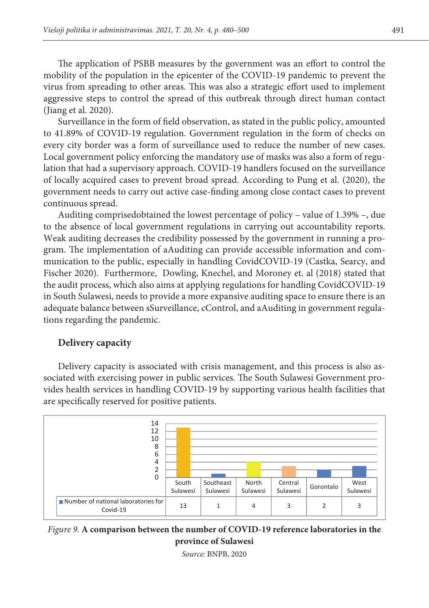The application of PSBB measures by the government was an effort to control the mobility of the population in the epicenter of the COVID-19 pandemic to prevent the virus from spreading to other areas. This was also a strategic effort used to implement aggressive steps to control the spread of this outbreak through direct human contact (Jiang et al. 2020).  $($ form of  $r_{\rm eff}$  regulation that had supervisory approach. Covid-19 handlers are focused on the focused on the focused on the focused on the focused on the focused on the focused on the focused on the focused on the fo

Surveillance in the form of field observation, as stated in the public policy, amounted to 41.89% of COVID-19 regulation. Government regulation in the form of checks on every city border was a form of surveillance used to reduce the number of new cases. Local government policy enforcing the mandatory use of masks was also a form of regulation that had a supervisory approach. COVID-19 handlers focused on the surveillance of locally acquired cases to prevent broad spread. According to Pung et al. (2020), the government needs to carry out active case-finding among close contact cases to prevent<br>continuous carreed continuous spread.

Auditing comprisedobtained the lowest percentage of policy - value of 1.39% -, due to the absence of local government regulations in carrying out accountability reports. Weak auditing decreases the credibility possessed by the government in running a program. The implementation of aAuditing can provide accessible information and communication to the public, especially in handling CovidCOVID-19 (Castka, Searcy, and Fischer 2020). Furthermore, Dowling, Knechel, and Moroney et. al (2018) stated that the audit process, which also aims at applying regulations for handling CovidCOVID-19 in South Sulawesi, needs to provide a more expansive auditing space to ensure there is an adequate balance between sSurveillance, cControl, and aAuditing in government regulations regarding the pandemic.

#### **Delivery capacity** Delivery capacity is associated with the crisis management, and this process is also associated

Delivery capacity is associated with crisis management, and this process is also associated with exercising power in public services. The South Sulawesi Government pro-<br>had link with exercising bow line COVID-19 by giving setten produce health facilities that vides health services in handling COVID-19 by supporting various health facilities that are specifically reserved for positive patients.





*Source:* BNPB, 2020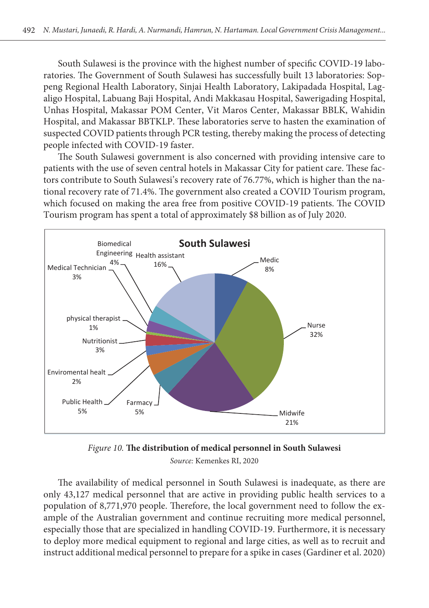South Sulawesi is the province with the highest number of specific COVID-19 laboratories. The Government of South Sulawesi has successfully built 13 laboratories: Soppeng Regional Health Laboratory, Sinjai Health Laboratory, Lakipadada Hospital, Lagaligo Hospital, Labuang Baji Hospital, Andi Makkasau Hospital, Sawerigading Hospital, Unhas Hospital, Makassar POM Center, Vit Maros Center, Makassar BBLK, Wahidin Hospital, and Makassar BBTKLP. These laboratories serve to hasten the examination of suspected COVID patients through PCR testing, thereby making the process of detecting people infected with COVID-19 faster.

people infected with COVID-19 laster.<br>The South Sulawesi government is also concerned with providing intensive care to patients with the use of seven central hotels in Makassar City for patient care. These factors contribute to South Sulawesi's recovery rate of 76.77%, which is higher than the national recovery rate of 71.4%. The government also created a COVID Tourism program, which focused on making the area free from positive COVID-19 patients. The COVID Which focused on making the area free from positive COVID-15 patients. The Tourism program has spent a total of approximately \$8 billion as of July 2020.



**Figure 10.: The distributionNumber of mMedical pPersonnel in South Sulawesi**  *Source:* Kemenkes RI, 2020 *Figure 10.* **The distribution of medical personnel in South Sulawesi**

The availability of medical personnel in South Sulawesi is inadequate, as there are population of 8,771,970 people. Therefore, the local government need to follow the exespecially those that are specialized in handling COVID-19. Furthermore, it is necessary only 43,127 medical personnel that are active in providing public health services to a ample of the Australian government and continue recruiting more medical personnel, to deploy more medical equipment to regional and large cities, as well as to recruit and instruct additional medical personnel to prepare for a spike in cases (Gardiner et al. 2020)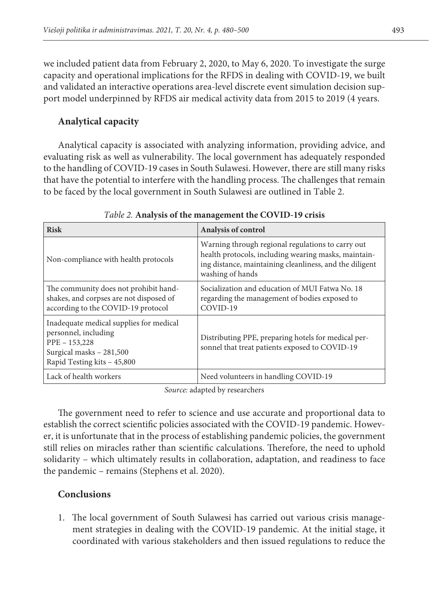we included patient data from February 2, 2020, to May 6, 2020. To investigate the surge capacity and operational implications for the RFDS in dealing with COVID-19, we built and validated an interactive operations area-level discrete event simulation decision support model underpinned by RFDS air medical activity data from 2015 to 2019 (4 years.

# **Analytical capacity**

Analytical capacity is associated with analyzing information, providing advice, and evaluating risk as well as vulnerability. The local government has adequately responded to the handling of COVID-19 cases in South Sulawesi. However, there are still many risks that have the potential to interfere with the handling process. The challenges that remain to be faced by the local government in South Sulawesi are outlined in Table 2.

| <b>Risk</b>                                                                                                                                 | Analysis of control                                                                                                                                                                      |  |
|---------------------------------------------------------------------------------------------------------------------------------------------|------------------------------------------------------------------------------------------------------------------------------------------------------------------------------------------|--|
| Non-compliance with health protocols                                                                                                        | Warning through regional regulations to carry out<br>health protocols, including wearing masks, maintain-<br>ing distance, maintaining cleanliness, and the diligent<br>washing of hands |  |
| The community does not prohibit hand-<br>shakes, and corpses are not disposed of<br>according to the COVID-19 protocol                      | Socialization and education of MUI Fatwa No. 18<br>regarding the management of bodies exposed to<br>COVID-19                                                                             |  |
| Inadequate medical supplies for medical<br>personnel, including<br>PPE - 153,228<br>Surgical masks - 281,500<br>Rapid Testing kits - 45,800 | Distributing PPE, preparing hotels for medical per-<br>sonnel that treat patients exposed to COVID-19                                                                                    |  |
| Lack of health workers                                                                                                                      | Need volunteers in handling COVID-19                                                                                                                                                     |  |

*Table 2.* **Analysis of the management the COVID-19 crisis** 

*Source:* adapted by researchers

The government need to refer to science and use accurate and proportional data to establish the correct scientific policies associated with the COVID-19 pandemic. However, it is unfortunate that in the process of establishing pandemic policies, the government still relies on miracles rather than scientific calculations. Therefore, the need to uphold solidarity – which ultimately results in collaboration, adaptation, and readiness to face the pandemic – remains (Stephens et al. 2020).

# **Conclusions**

1. The local government of South Sulawesi has carried out various crisis management strategies in dealing with the COVID-19 pandemic. At the initial stage, it coordinated with various stakeholders and then issued regulations to reduce the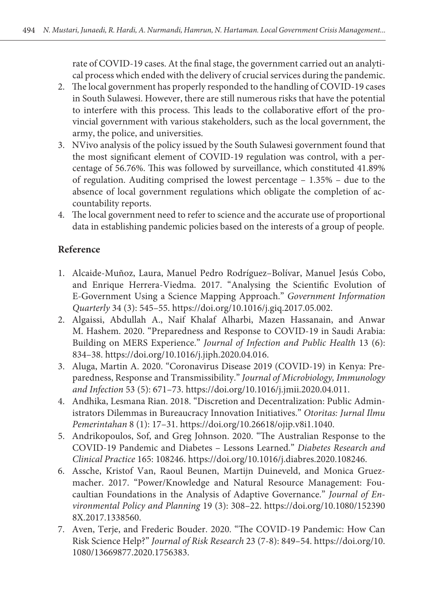rate of COVID-19 cases. At the final stage, the government carried out an analytical process which ended with the delivery of crucial services during the pandemic.

- 2. The local government has properly responded to the handling of COVID-19 cases in South Sulawesi. However, there are still numerous risks that have the potential to interfere with this process. This leads to the collaborative effort of the provincial government with various stakeholders, such as the local government, the army, the police, and universities.
- 3. NVivo analysis of the policy issued by the South Sulawesi government found that the most significant element of COVID-19 regulation was control, with a percentage of 56.76%. This was followed by surveillance, which constituted 41.89% of regulation. Auditing comprised the lowest percentage – 1.35% – due to the absence of local government regulations which obligate the completion of accountability reports.
- 4. The local government need to refer to science and the accurate use of proportional data in establishing pandemic policies based on the interests of a group of people.

# **Reference**

- 1. Alcaide-Muñoz, Laura, Manuel Pedro Rodríguez–Bolívar, Manuel Jesús Cobo, and Enrique Herrera-Viedma. 2017. "Analysing the Scientific Evolution of E-Government Using a Science Mapping Approach." *Government Information Quarterly* 34 (3): 545–55. https://doi.org/10.1016/j.giq.2017.05.002.
- 2. Algaissi, Abdullah A., Naif Khalaf Alharbi, Mazen Hassanain, and Anwar M. Hashem. 2020. "Preparedness and Response to COVID-19 in Saudi Arabia: Building on MERS Experience." *Journal of Infection and Public Health* 13 (6): 834–38. https://doi.org/10.1016/j.jiph.2020.04.016.
- 3. Aluga, Martin A. 2020. "Coronavirus Disease 2019 (COVID-19) in Kenya: Preparedness, Response and Transmissibility." *Journal of Microbiology, Immunology and Infection* 53 (5): 671–73. https://doi.org/10.1016/j.jmii.2020.04.011.
- 4. Andhika, Lesmana Rian. 2018. "Discretion and Decentralization: Public Administrators Dilemmas in Bureaucracy Innovation Initiatives." *Otoritas: Jurnal Ilmu Pemerintahan* 8 (1): 17–31. https://doi.org/10.26618/ojip.v8i1.1040.
- 5. Andrikopoulos, Sof, and Greg Johnson. 2020. "The Australian Response to the COVID-19 Pandemic and Diabetes – Lessons Learned." *Diabetes Research and Clinical Practice* 165: 108246. https://doi.org/10.1016/j.diabres.2020.108246.
- 6. Assche, Kristof Van, Raoul Beunen, Martijn Duineveld, and Monica Gruezmacher. 2017. "Power/Knowledge and Natural Resource Management: Foucaultian Foundations in the Analysis of Adaptive Governance." *Journal of Environmental Policy and Planning* 19 (3): 308–22. https://doi.org/10.1080/152390 8X.2017.1338560.
- 7. Aven, Terje, and Frederic Bouder. 2020. "The COVID-19 Pandemic: How Can Risk Science Help?" *Journal of Risk Research* 23 (7-8): 849–54. https://doi.org/10. 1080/13669877.2020.1756383.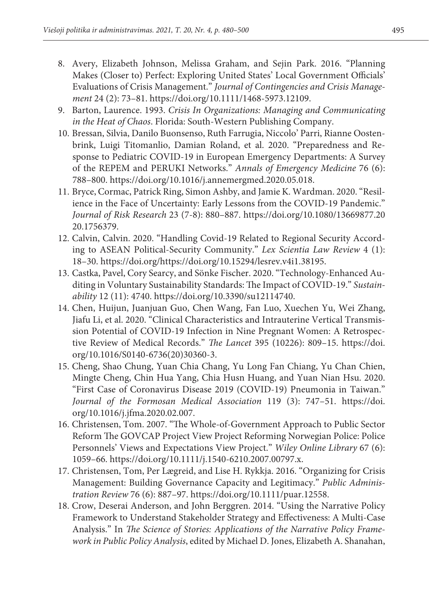- 8. Avery, Elizabeth Johnson, Melissa Graham, and Sejin Park. 2016. "Planning Makes (Closer to) Perfect: Exploring United States' Local Government Officials' Evaluations of Crisis Management." *Journal of Contingencies and Crisis Management* 24 (2): 73–81. https://doi.org/10.1111/1468-5973.12109.
- 9. Barton, Laurence. 1993. *Crisis In Organizations: Managing and Communicating in the Heat of Chaos*. Florida: South-Western Publishing Company.
- 10. Bressan, Silvia, Danilo Buonsenso, Ruth Farrugia, Niccolo' Parri, Rianne Oostenbrink, Luigi Titomanlio, Damian Roland, et al. 2020. "Preparedness and Response to Pediatric COVID-19 in European Emergency Departments: A Survey of the REPEM and PERUKI Networks." *Annals of Emergency Medicine* 76 (6): 788–800. https://doi.org/10.1016/j.annemergmed.2020.05.018.
- 11. Bryce, Cormac, Patrick Ring, Simon Ashby, and Jamie K. Wardman. 2020. "Resilience in the Face of Uncertainty: Early Lessons from the COVID-19 Pandemic." *Journal of Risk Research* 23 (7-8): 880–887. https://doi.org/10.1080/13669877.20 20.1756379.
- 12. Calvin, Calvin. 2020. "Handling Covid-19 Related to Regional Security According to ASEAN Political-Security Community." *Lex Scientia Law Review* 4 (1): 18–30. https://doi.org/https://doi.org/10.15294/lesrev.v4i1.38195.
- 13. Castka, Pavel, Cory Searcy, and Sönke Fischer. 2020. "Technology-Enhanced Auditing in Voluntary Sustainability Standards: The Impact of COVID-19." *Sustainability* 12 (11): 4740. https://doi.org/10.3390/su12114740.
- 14. Chen, Huijun, Juanjuan Guo, Chen Wang, Fan Luo, Xuechen Yu, Wei Zhang, Jiafu Li, et al. 2020. "Clinical Characteristics and Intrauterine Vertical Transmission Potential of COVID-19 Infection in Nine Pregnant Women: A Retrospective Review of Medical Records." *The Lancet* 395 (10226): 809–15. https://doi. org/10.1016/S0140-6736(20)30360-3.
- 15. Cheng, Shao Chung, Yuan Chia Chang, Yu Long Fan Chiang, Yu Chan Chien, Mingte Cheng, Chin Hua Yang, Chia Husn Huang, and Yuan Nian Hsu. 2020. "First Case of Coronavirus Disease 2019 (COVID-19) Pneumonia in Taiwan." *Journal of the Formosan Medical Association* 119 (3): 747–51. https://doi. org/10.1016/j.jfma.2020.02.007.
- 16. Christensen, Tom. 2007. "The Whole-of-Government Approach to Public Sector Reform The GOVCAP Project View Project Reforming Norwegian Police: Police Personnels' Views and Expectations View Project." *Wiley Online Library* 67 (6): 1059–66. https://doi.org/10.1111/j.1540-6210.2007.00797.x.
- 17. Christensen, Tom, Per Lægreid, and Lise H. Rykkja. 2016. "Organizing for Crisis Management: Building Governance Capacity and Legitimacy." *Public Administration Review* 76 (6): 887–97. https://doi.org/10.1111/puar.12558.
- 18. Crow, Deserai Anderson, and John Berggren. 2014. "Using the Narrative Policy Framework to Understand Stakeholder Strategy and Effectiveness: A Multi-Case Analysis." In *The Science of Stories: Applications of the Narrative Policy Framework in Public Policy Analysis*, edited by Michael D. Jones, Elizabeth A. Shanahan,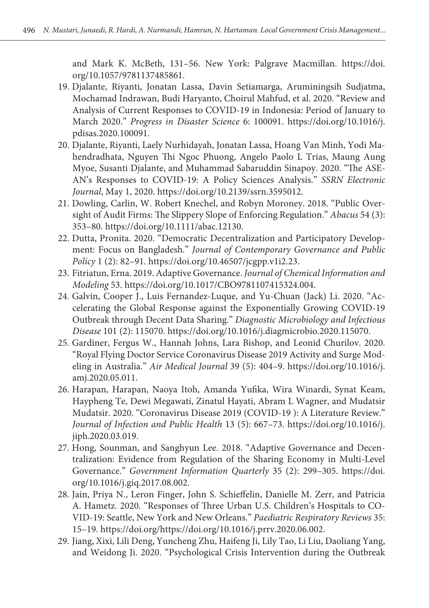and Mark K. McBeth, 131–56. New York: Palgrave Macmillan. https://doi. org/10.1057/9781137485861.

- 19. Djalante, Riyanti, Jonatan Lassa, Davin Setiamarga, Aruminingsih Sudjatma, Mochamad Indrawan, Budi Haryanto, Choirul Mahfud, et al. 2020. "Review and Analysis of Current Responses to COVID-19 in Indonesia: Period of January to March 2020." *Progress in Disaster Science* 6: 100091. https://doi.org/10.1016/j. pdisas.2020.100091.
- 20. Djalante, Riyanti, Laely Nurhidayah, Jonatan Lassa, Hoang Van Minh, Yodi Mahendradhata, Nguyen Thi Ngoc Phuong, Angelo Paolo L Trias, Maung Aung Myoe, Susanti Djalante, and Muhammad Sabaruddin Sinapoy. 2020. "The ASE-AN's Responses to COVID-19: A Policy Sciences Analysis." *SSRN Electronic Journal*, May 1, 2020. https://doi.org/10.2139/ssrn.3595012.
- 21. Dowling, Carlin, W. Robert Knechel, and Robyn Moroney. 2018. "Public Oversight of Audit Firms: The Slippery Slope of Enforcing Regulation." *Abacus* 54 (3): 353–80. https://doi.org/10.1111/abac.12130.
- 22. Dutta, Pronita. 2020. "Democratic Decentralization and Participatory Development: Focus on Bangladesh." *Journal of Contemporary Governance and Public Policy* 1 (2): 82–91. https://doi.org/10.46507/jcgpp.v1i2.23.
- 23. Fitriatun, Erna. 2019. Adaptive Governance. *Journal of Chemical Information and Modeling* 53. https://doi.org/10.1017/CBO9781107415324.004.
- 24. Galvin, Cooper J., Luis Fernandez-Luque, and Yu-Chuan (Jack) Li. 2020. "Accelerating the Global Response against the Exponentially Growing COVID-19 Outbreak through Decent Data Sharing." *Diagnostic Microbiology and Infectious Disease* 101 (2): 115070. https://doi.org/10.1016/j.diagmicrobio.2020.115070.
- 25. Gardiner, Fergus W., Hannah Johns, Lara Bishop, and Leonid Churilov. 2020. "Royal Flying Doctor Service Coronavirus Disease 2019 Activity and Surge Modeling in Australia." *Air Medical Journal* 39 (5): 404–9. https://doi.org/10.1016/j. amj.2020.05.011.
- 26. Harapan, Harapan, Naoya Itoh, Amanda Yufika, Wira Winardi, Synat Keam, Haypheng Te, Dewi Megawati, Zinatul Hayati, Abram L Wagner, and Mudatsir Mudatsir. 2020. "Coronavirus Disease 2019 (COVID-19 ): A Literature Review." *Journal of Infection and Public Health* 13 (5): 667–73. https://doi.org/10.1016/j. jiph.2020.03.019.
- 27. Hong, Sounman, and Sanghyun Lee. 2018. "Adaptive Governance and Decentralization: Evidence from Regulation of the Sharing Economy in Multi-Level Governance." *Government Information Quarterly* 35 (2): 299–305. https://doi. org/10.1016/j.giq.2017.08.002.
- 28. Jain, Priya N., Leron Finger, John S. Schieffelin, Danielle M. Zerr, and Patricia A. Hametz. 2020. "Responses of Three Urban U.S. Children's Hospitals to CO-VID-19: Seattle, New York and New Orleans." *Paediatric Respiratory Reviews* 35: 15–19. https://doi.org/https://doi.org/10.1016/j.prrv.2020.06.002.
- 29. Jiang, Xixi, Lili Deng, Yuncheng Zhu, Haifeng Ji, Lily Tao, Li Liu, Daoliang Yang, and Weidong Ji. 2020. "Psychological Crisis Intervention during the Outbreak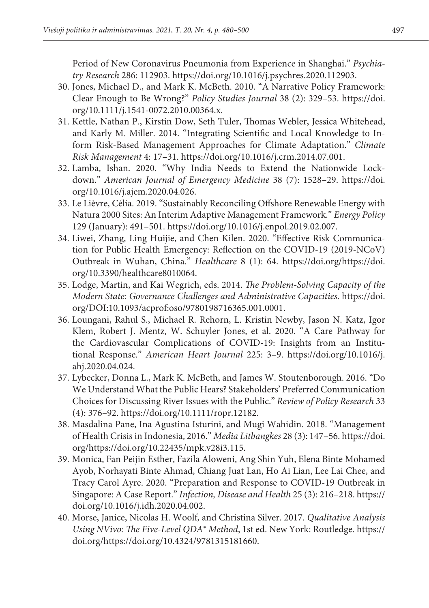Period of New Coronavirus Pneumonia from Experience in Shanghai." *Psychiatry Research* 286: 112903. https://doi.org/10.1016/j.psychres.2020.112903.

- 30. Jones, Michael D., and Mark K. McBeth. 2010. "A Narrative Policy Framework: Clear Enough to Be Wrong?" *Policy Studies Journal* 38 (2): 329–53. https://doi. org/10.1111/j.1541-0072.2010.00364.x.
- 31. Kettle, Nathan P., Kirstin Dow, Seth Tuler, Thomas Webler, Jessica Whitehead, and Karly M. Miller. 2014. "Integrating Scientific and Local Knowledge to Inform Risk-Based Management Approaches for Climate Adaptation." *Climate Risk Management* 4: 17–31. https://doi.org/10.1016/j.crm.2014.07.001.
- 32. Lamba, Ishan. 2020. "Why India Needs to Extend the Nationwide Lockdown." *American Journal of Emergency Medicine* 38 (7): 1528–29. https://doi. org/10.1016/j.ajem.2020.04.026.
- 33. Le Lièvre, Célia. 2019. "Sustainably Reconciling Offshore Renewable Energy with Natura 2000 Sites: An Interim Adaptive Management Framework." *Energy Policy* 129 (January): 491–501. https://doi.org/10.1016/j.enpol.2019.02.007.
- 34. Liwei, Zhang, Ling Huijie, and Chen Kilen. 2020. "Effective Risk Communication for Public Health Emergency: Reflection on the COVID-19 (2019-NCoV) Outbreak in Wuhan, China." *Healthcare* 8 (1): 64. https://doi.org/https://doi. org/10.3390/healthcare8010064.
- 35. Lodge, Martin, and Kai Wegrich, eds. 2014. *The Problem-Solving Capacity of the Modern State: Governance Challenges and Administrative Capacities*. https://doi. org/DOI:10.1093/acprof:oso/9780198716365.001.0001.
- 36. Loungani, Rahul S., Michael R. Rehorn, L. Kristin Newby, Jason N. Katz, Igor Klem, Robert J. Mentz, W. Schuyler Jones, et al. 2020. "A Care Pathway for the Cardiovascular Complications of COVID-19: Insights from an Institutional Response." *American Heart Journal* 225: 3–9. https://doi.org/10.1016/j. ahj.2020.04.024.
- 37. Lybecker, Donna L., Mark K. McBeth, and James W. Stoutenborough. 2016. "Do We Understand What the Public Hears? Stakeholders' Preferred Communication Choices for Discussing River Issues with the Public." *Review of Policy Research* 33 (4): 376–92. https://doi.org/10.1111/ropr.12182.
- 38. Masdalina Pane, Ina Agustina Isturini, and Mugi Wahidin. 2018. "Management of Health Crisis in Indonesia, 2016." *Media Litbangkes* 28 (3): 147–56. https://doi. org/https://doi.org/10.22435/mpk.v28i3.115.
- 39. Monica, Fan Peijin Esther, Fazila Aloweni, Ang Shin Yuh, Elena Binte Mohamed Ayob, Norhayati Binte Ahmad, Chiang Juat Lan, Ho Ai Lian, Lee Lai Chee, and Tracy Carol Ayre. 2020. "Preparation and Response to COVID-19 Outbreak in Singapore: A Case Report." *Infection, Disease and Health* 25 (3): 216–218. https:// doi.org/10.1016/j.idh.2020.04.002.
- 40. Morse, Janice, Nicolas H. Woolf, and Christina Silver. 2017. *Qualitative Analysis Using NVivo: The Five-Level QDA® Method*, 1st ed. New York: Routledge. https:// doi.org/https://doi.org/10.4324/9781315181660.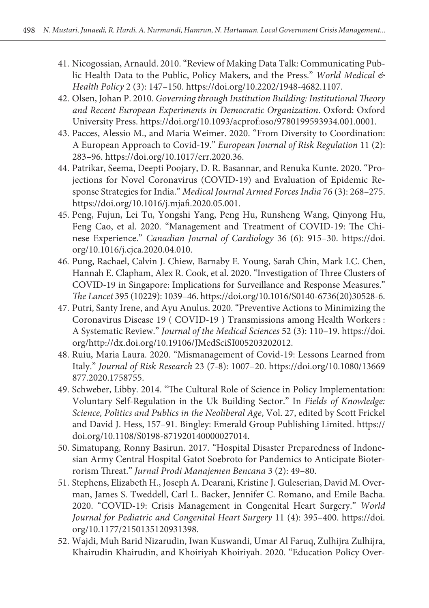- 41. Nicogossian, Arnauld. 2010. "Review of Making Data Talk: Communicating Public Health Data to the Public, Policy Makers, and the Press." *World Medical & Health Policy* 2 (3): 147–150. https://doi.org/10.2202/1948-4682.1107.
- 42. Olsen, Johan P. 2010. *Governing through Institution Building: Institutional Theory and Recent European Experiments in Democratic Organization*. Oxford: Oxford University Press. https://doi.org/10.1093/acprof:oso/9780199593934.001.0001.
- 43. Pacces, Alessio M., and Maria Weimer. 2020. "From Diversity to Coordination: A European Approach to Covid-19." *European Journal of Risk Regulation* 11 (2): 283–96. https://doi.org/10.1017/err.2020.36.
- 44. Patrikar, Seema, Deepti Poojary, D. R. Basannar, and Renuka Kunte. 2020. "Projections for Novel Coronavirus (COVID-19) and Evaluation of Epidemic Response Strategies for India." *Medical Journal Armed Forces India* 76 (3): 268–275. https://doi.org/10.1016/j.mjafi.2020.05.001.
- 45. Peng, Fujun, Lei Tu, Yongshi Yang, Peng Hu, Runsheng Wang, Qinyong Hu, Feng Cao, et al. 2020. "Management and Treatment of COVID-19: The Chinese Experience." *Canadian Journal of Cardiology* 36 (6): 915–30. https://doi. org/10.1016/j.cjca.2020.04.010.
- 46. Pung, Rachael, Calvin J. Chiew, Barnaby E. Young, Sarah Chin, Mark I.C. Chen, Hannah E. Clapham, Alex R. Cook, et al. 2020. "Investigation of Three Clusters of COVID-19 in Singapore: Implications for Surveillance and Response Measures." *The Lancet* 395 (10229): 1039–46. https://doi.org/10.1016/S0140-6736(20)30528-6.
- 47. Putri, Santy Irene, and Ayu Anulus. 2020. "Preventive Actions to Minimizing the Coronavirus Disease 19 ( COVID-19 ) Transmissions among Health Workers : A Systematic Review." *Journal of the Medical Sciences* 52 (3): 110–19. https://doi. org/http://dx.doi.org/10.19106/JMedSciSI005203202012.
- 48. Ruiu, Maria Laura. 2020. "Mismanagement of Covid-19: Lessons Learned from Italy." *Journal of Risk Research* 23 (7-8): 1007–20. https://doi.org/10.1080/13669 877.2020.1758755.
- 49. Schweber, Libby. 2014. "The Cultural Role of Science in Policy Implementation: Voluntary Self-Regulation in the Uk Building Sector." In *Fields of Knowledge: Science, Politics and Publics in the Neoliberal Age*, Vol. 27, edited by Scott Frickel and David J. Hess, 157–91. Bingley: Emerald Group Publishing Limited. https:// doi.org/10.1108/S0198-871920140000027014.
- 50. Simatupang, Ronny Basirun. 2017. "Hospital Disaster Preparedness of Indonesian Army Central Hospital Gatot Soebroto for Pandemics to Anticipate Bioterrorism Threat." *Jurnal Prodi Manajemen Bencana* 3 (2): 49–80.
- 51. Stephens, Elizabeth H., Joseph A. Dearani, Kristine J. Guleserian, David M. Overman, James S. Tweddell, Carl L. Backer, Jennifer C. Romano, and Emile Bacha. 2020. "COVID-19: Crisis Management in Congenital Heart Surgery." *World Journal for Pediatric and Congenital Heart Surgery* 11 (4): 395–400. https://doi. org/10.1177/2150135120931398.
- 52. Wajdi, Muh Barid Nizarudin, Iwan Kuswandi, Umar Al Faruq, Zulhijra Zulhijra, Khairudin Khairudin, and Khoiriyah Khoiriyah. 2020. "Education Policy Over-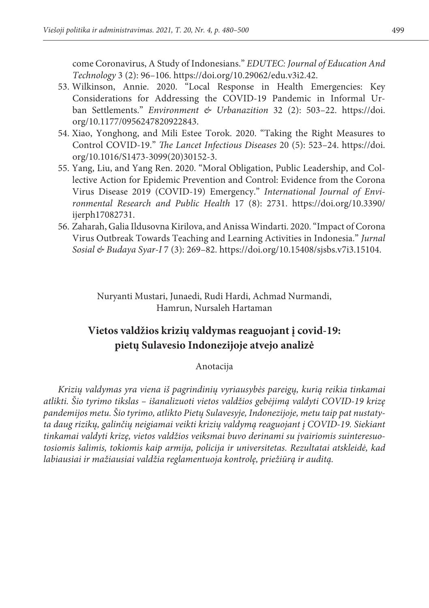come Coronavirus, A Study of Indonesians." *EDUTEC: Journal of Education And Technology* 3 (2): 96–106. https://doi.org/10.29062/edu.v3i2.42.

- 53. Wilkinson, Annie. 2020. "Local Response in Health Emergencies: Key Considerations for Addressing the COVID-19 Pandemic in Informal Urban Settlements." *Environment & Urbanazition* 32 (2): 503–22. https://doi. org/10.1177/0956247820922843.
- 54. Xiao, Yonghong, and Mili Estee Torok. 2020. "Taking the Right Measures to Control COVID-19." *The Lancet Infectious Diseases* 20 (5): 523–24. https://doi. org/10.1016/S1473-3099(20)30152-3.
- 55. Yang, Liu, and Yang Ren. 2020. "Moral Obligation, Public Leadership, and Collective Action for Epidemic Prevention and Control: Evidence from the Corona Virus Disease 2019 (COVID-19) Emergency." *International Journal of Environmental Research and Public Health* 17 (8): 2731. https://doi.org/10.3390/ ijerph17082731.
- 56. Zaharah, Galia Ildusovna Kirilova, and Anissa Windarti. 2020. "Impact of Corona Virus Outbreak Towards Teaching and Learning Activities in Indonesia." *Jurnal Sosial & Budaya Syar-I* 7 (3): 269–82. https://doi.org/10.15408/sjsbs.v7i3.15104.

Nuryanti Mustari, Junaedi, Rudi Hardi, Achmad Nurmandi, Hamrun, Nursaleh Hartaman

# **Vietos valdžios krizių valdymas reaguojant į covid-19: pietų Sulavesio Indonezijoje atvejo analizė**

Anotacija

*Krizių valdymas yra viena iš pagrindinių vyriausybės pareigų, kurią reikia tinkamai atlikti. Šio tyrimo tikslas – išanalizuoti vietos valdžios gebėjimą valdyti COVID-19 krizę pandemijos metu. Šio tyrimo, atlikto Pietų Sulavesyje, Indonezijoje, metu taip pat nustatyta daug rizikų, galinčių neigiamai veikti krizių valdymą reaguojant į COVID-19. Siekiant tinkamai valdyti krizę, vietos valdžios veiksmai buvo derinami su įvairiomis suinteresuotosiomis šalimis, tokiomis kaip armija, policija ir universitetas. Rezultatai atskleidė, kad labiausiai ir mažiausiai valdžia reglamentuoja kontrolę, priežiūrą ir auditą.*